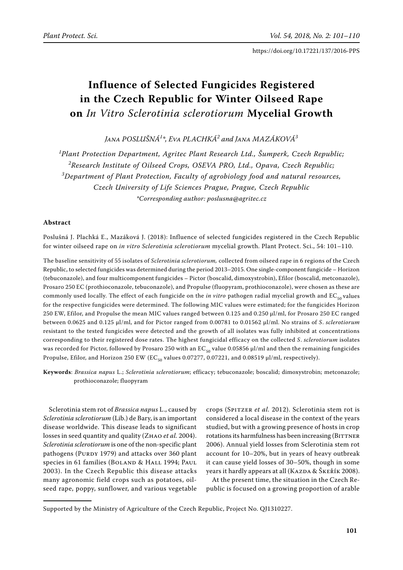# **Influence of Selected Fungicides Registered in the Czech Republic for Winter Oilseed Rape on** *In Vitro Sclerotinia sclerotiorum* **Mycelial Growth**

*Jana Poslušná1 \*, Eva Plachká2 and Jana Mazáková3*

*1 Plant Protection Department, Agritec Plant Research Ltd., Šumperk, Czech Republic;*  <sup>2</sup>Research Institute of Oilseed Crops, OSEVA PRO, Ltd., Opava, Czech Republic; *3 Department of Plant Protection, Faculty of agrobiology food and natural resources, Czech University of Life Sciences Prague, Prague, Czech Republic \*Corresponding author: poslusna@agritec.cz*

# **Abstract**

Poslušná J. Plachká E., Mazáková J. (2018): Influence of selected fungicides registered in the Czech Republic for winter oilseed rape on *in vitro Sclerotinia sclerotiorum* mycelial growth. Plant Protect. Sci., 54: 101–110.

The baseline sensitivity of 55 isolates of *Sclerotinia sclerotiorum,* collected from oilseed rape in 6 regions of the Czech Republic, to selected fungicides was determined during the period 2013–2015. One single-component fungicide – Horizon (tebuconazole), and four multicomponent fungicides – Pictor (boscalid, dimoxystrobin), Efilor (boscalid, metconazole), Prosaro 250 EC (prothioconazole, tebuconazole), and Propulse (fluopyram, prothioconazole), were chosen as these are commonly used locally. The effect of each fungicide on the *in vitro* pathogen radial mycelial growth and  $EC_{50}$  values for the respective fungicides were determined. The following MIC values were estimated; for the fungicides Horizon 250 EW, Efilor, and Propulse the mean MIC values ranged between 0.125 and 0.250 µl/ml, for Prosaro 250 EC ranged between 0.0625 and 0.125 µl/ml, and for Pictor ranged from 0.00781 to 0.01562 µl/ml. No strains of *S*. *sclerotiorum* resistant to the tested fungicides were detected and the growth of all isolates was fully inhibited at concentrations corresponding to their registered dose rates. The highest fungicidal efficacy on the collected *S*. *sclerotiorum* isolates was recorded for Pictor, followed by Prosaro 250 with an EC<sub>50</sub> value 0.05856 µl/ml and then the remaining fungicides Propulse, Efilor, and Horizon 250 EW (EC<sub>50</sub> values 0.07277, 0.07221, and 0.08519 µl/ml, respectively).

**Keywords**: *Brassica napus* L.; *Sclerotinia sclerotiorum*; efficacy; tebuconazole; boscalid; dimoxystrobin; metconazole; prothioconazole; fluopyram

Sclerotinia stem rot of *Brassica napus* L., caused by *Sclerotinia sclerotiorum* (Lib.) de Bary, is an important disease worldwide. This disease leads to significant losses in seed quantity and quality (Zhao *et al.* 2004). *Sclerotinia sclerotiorum* is one of the non-specific plant pathogens (PURDY 1979) and attacks over 360 plant species in 61 families (BOLAND & HALL 1994; PAUL 2003). In the Czech Republic this disease attacks many agronomic field crops such as potatoes, oilseed rape, poppy, sunflower, and various vegetable

crops (Spitzer *et al.* 2012). Sclerotinia stem rot is considered a local disease in the context of the years studied, but with a growing presence of hosts in crop rotations its harmfulness has been increasing (BITTNER 2006). Annual yield losses from Sclerotinia stem rot account for 10–20%, but in years of heavy outbreak it can cause yield losses of 30–50%, though in some years it hardly appears at all (KAZDA & ŠKEŘÍK 2008).

At the present time, the situation in the Czech Republic is focused on a growing proportion of arable

Supported by the Ministry of Agriculture of the Czech Republic, Project No. QJ1310227.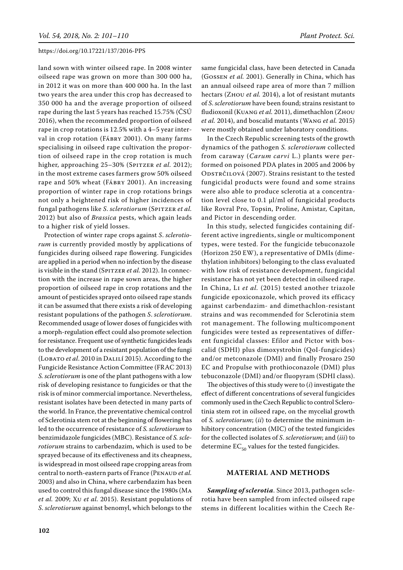land sown with winter oilseed rape. In 2008 winter oilseed rape was grown on more than 300 000 ha, in 2012 it was on more than 400 000 ha. In the last two years the area under this crop has decreased to 350 000 ha and the average proportion of oilseed rape during the last 5 years has reached 15.75% (ČSÚ 2016), when the recommended proportion of oilseed rape in crop rotations is 12.5% with a 4–5 year interval in crop rotation (Fábry 2001). On many farms specialising in oilseed rape cultivation the proportion of oilseed rape in the crop rotation is much higher, approaching 25–30% (SPITZER *et al.* 2012); in the most extreme cases farmers grow 50% oilseed rape and 50% wheat (Fábry 2001). An increasing proportion of winter rape in crop rotations brings not only a heightened risk of higher incidences of fungal pathogens like *S. sclerotiorum* (SPITZER *et al.* 2012) but also of *Brassica* pests, which again leads to a higher risk of yield losses.

Protection of winter rape crops against *S*. *sclerotiorum* is currently provided mostly by applications of fungicides during oilseed rape flowering. Fungicides are applied in a period when no infection by the disease is visible in the stand (SPITZER et al. 2012). In connection with the increase in rape sown areas, the higher proportion of oilseed rape in crop rotations and the amount of pesticides sprayed onto oilseed rape stands it can be assumed that there exists a risk of developing resistant populations of the pathogen *S*. *sclerotiorum*. Recommended usage of lower doses of fungicides with a morph-regulation effect could also promote selection for resistance. Frequent use of synthetic fungicides leads to the development of a resistant population of the fungi (Lobato *et al*. 2010 in Dalilí 2015). According to the Fungicide Resistance Action Committee (FRAC 2013) *S. sclerotiorum* is one of the plant pathogens with a low risk of developing resistance to fungicides or that the risk is of minor commercial importance. Nevertheless, resistant isolates have been detected in many parts of the world. In France, the preventative chemical control of Sclerotinia stem rot at the beginning of flowering has led to the occurrence of resistance of *S. sclerotiorum* to benzimidazole fungicides (MBC). Resistance of *S. sclerotiorum* strains to carbendazim, which is used to be sprayed because of its effectiveness and its cheapness, is widespread in most oilseed rape cropping areas from central to north-eastern parts of France (PENAUD *et al.* 2003) and also in China, where carbendazim has been used to control this fungal disease since the 1980s (Ma *et al.* 2009; Xu *et al.* 2015). Resistant populations of *S*. *sclerotiorum* against benomyl, which belongs to the

same fungicidal class, have been detected in Canada (Gossen *et al.* 2001). Generally in China, which has an annual oilseed rape area of more than 7 million hectars (Zhou *et al.* 2014), a lot of resistant mutants of *S*. *sclerotiorum* have been found; strains resistant to fludioxonil (Kuang *et al.* 2011), dimethachlon (Zhou *et al.* 2014), and boscalid mutants (Wang *et al.* 2015) were mostly obtained under laboratory conditions.

In the Czech Republic screening tests of the growth dynamics of the pathogen *S. sclerotiorum* collected from caraway (*Carum carvi* L.) plants were performed on poisoned PDA plates in 2005 and 2006 by ODSTRČILOVÁ (2007). Strains resistant to the tested fungicidal products were found and some strains were also able to produce sclerotia at a concentration level close to 0.1 µl/ml of fungicidal products like Rovral Pro, Topsin, Proline, Amistar, Capitan, and Pictor in descending order.

In this study, selected fungicides containing different active ingredients, single or multicomponent types, were tested. For the fungicide tebuconazole (Horizon 250 EW), a representative of DMIs (dimethylation inhibitors) belonging to the class evaluated with low risk of resistance development, fungicidal resistance has not yet been detected in oilseed rape. In China, Li *et al.* (2015) tested another triazole fungicide epoxiconazole, which proved its efficacy against carbendazim- and dimethachlon-resistant strains and was recommended for Sclerotinia stem rot management. The following multicomponent fungicides were tested as representatives of different fungicidal classes: Efilor and Pictor with boscalid (SDHI) plus dimoxystrobin (QoI-fungicides) and/or metconazole (DMI) and finally Prosaro 250 EC and Propulse with prothioconazole (DMI) plus tebuconazole (DMI) and/or fluopyram (SDHI class).

The objectives of this study were to (*i*) investigate the effect of different concentrations of several fungicides commonly used in the Czech Republic to control Sclerotinia stem rot in oilseed rape, on the mycelial growth of *S. sclerotiorum*; (*ii*) to determine the minimum inhibitory concentration (MIC) of the tested fungicides for the collected isolates of *S*. *sclerotiorum*; and (*iii*) to determine  $EC_{50}$  values for the tested fungicides.

### **Material and methods**

*Sampling of sclerotia*. Since 2013, pathogen sclerotia have been sampled from infected oilseed rape stems in different localities within the Czech Re-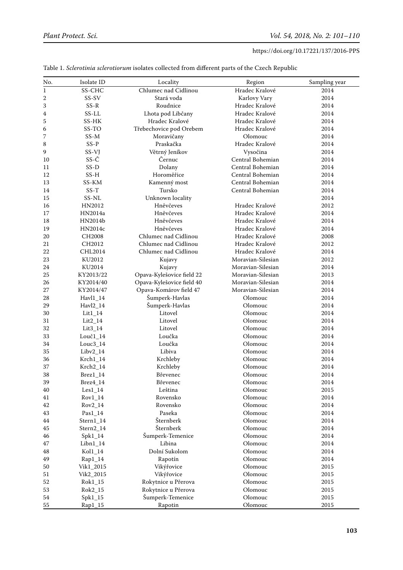| No.         | Isolate ID     | Locality                  | Region            | Sampling year |
|-------------|----------------|---------------------------|-------------------|---------------|
| $\mathbf 1$ | SS-CHC         | Chlumec nad Cidlinou      | Hradec Kralové    | 2014          |
| 2           | SS-SV          | Stará voda                | Karlovy Vary      | 2014          |
| 3           | $SS-R$         | Roudnice                  | Hradec Kralové    | 2014          |
| 4           | $SS-LL$        | Lhota pod Libčany         | Hradec Kralové    | 2014          |
| 5           | SS-HK          | Hradec Kralové            | Hradec Kralové    | 2014          |
| 6           | SS-TO          | Třebechovice pod Orebem   | Hradec Kralové    | 2014          |
| 7           | $SS-M$         | Moravičany                | Olomouc           | 2014          |
| 8           | $SS-P$         | Praskačka                 | Hradec Kralové    | 2014          |
| 9           | SS-VJ          | Větrný Jeníkov            | Vysočina          | 2014          |
| 10          | SS-Č           | Černuc                    | Central Bohemian  | 2014          |
| 11          | $SS-D$         | Dolany                    | Central Bohemian  | 2014          |
| 12          | $SS-H$         | Horoměřice                | Central Bohemian  | 2014          |
| 13          | SS-KM          | Kamenný most              | Central Bohemian  | 2014          |
| 14          | $SS-T$         | Tursko                    | Central Bohemian  | 2014          |
| 15          | SS-NL          | Unknown locality          |                   | 2014          |
| 16          | HN2012         | Hněvčeves                 | Hradec Kralové    | 2012          |
| 17          | HN2014a        | Hněvčeves                 | Hradec Kralové    | 2014          |
| 18          | HN2014b        | Hněvčeves                 | Hradec Kralové    | 2014          |
| 19          | HN2014c        | Hněvčeves                 | Hradec Kralové    | 2014          |
| 20          | CH2008         | Chlumec nad Cidlinou      | Hradec Kralové    | 2008          |
| 21          | CH2012         | Chlumec nad Cidlinou      | Hradec Kralové    | 2012          |
| 22          | CHL2014        | Chlumec nad Cidlinou      | Hradec Kralové    | 2014          |
| 23          | KU2012         | Kujavy                    | Moravian-Silesian | 2012          |
| 24          | KU2014         | Kujavy                    | Moravian-Silesian | 2014          |
| 25          | KY2013/22      | Opava-Kylešovice field 22 | Moravian-Silesian | 2013          |
| 26          | KY2014/40      | Opava-Kylešovice field 40 | Moravian-Silesian | 2014          |
| 27          | KY2014/47      | Opava-Komárov field 47    | Moravian-Silesian | 2014          |
| 28          | $Hav11_14$     | Šumperk-Havlas            | Olomouc           | 2014          |
| 29          | $Havl2_14$     | Šumperk-Havlas            | Olomouc           | 2014          |
| 30          | $Lit1_14$      | Litovel                   | Olomouc           | 2014          |
| 31          | $Lit2_14$      | Litovel                   | Olomouc           | 2014          |
| 32          | $Lit3_14$      | Litovel                   | Olomouc           | 2014          |
| 33          | Louč1_14       | Loučka                    | Olomouc           | 2014          |
| 34          | $Louc3_14$     | Loučka                    | Olomouc           | 2014          |
| 35          | $Libv2_14$     | Libiva                    | Olomouc           | 2014          |
| 36          | $Krch1_14$     | Krchleby                  | Olomouc           | 2014          |
| 37          | Krch2_14       | Krchleby                  | Olomouc           | 2014          |
| 38          | $Brez1_14$     | Břevenec                  | Olomouc           | 2014          |
| 39          | Brez4_14       | Břevenec                  | Olomouc           | 2014          |
| 40          | $Les1_14$      | Leština                   | Olomouc           | 2015          |
| 41          | $Rov1_14$      | Rovensko                  | Olomouc           | 2014          |
| 42          | Rov2_14        | Rovensko                  | Olomouc           | 2014          |
| 43          | $\rm Pas1\_14$ | Paseka                    | Olomouc           | 2014          |
| 44          | Stern1_14      | Šternberk                 | Olomouc           | 2014          |
| 45          | Stern2_14      | Šternberk                 | Olomouc           | 2014          |
| 46          | $Spk1_14$      | Šumperk-Temenice          | Olomouc           | 2014          |
| 47          | $Libn1_14$     | Libina                    | Olomouc           | 2014          |
| 48          | $Kol1_14$      | Dolní Sukolom             | Olomouc           | 2014          |
| 49          | Rap1_14        | Rapotín                   | Olomouc           | 2014          |
| 50          | Vik1_2015      | Vikýřovice                | Olomouc           | 2015          |
| 51          | Vik2_2015      | Vikýřovice                | Olomouc           | 2015          |
| 52          | Rok1_15        | Rokytnice u Přerova       | Olomouc           | 2015          |
| 53          | Rok2_15        | Rokytnice u Přerova       | Olomouc           | 2015          |
| 54          | $Spk1_15$      | Šumperk-Temenice          | Olomouc           | 2015          |
| 55          | $Rap1_15$      | Rapotin                   | Olomouc           | 2015          |

Table 1. *Sclerotinia sclerotiorum* isolates collected from different parts of the Czech Republic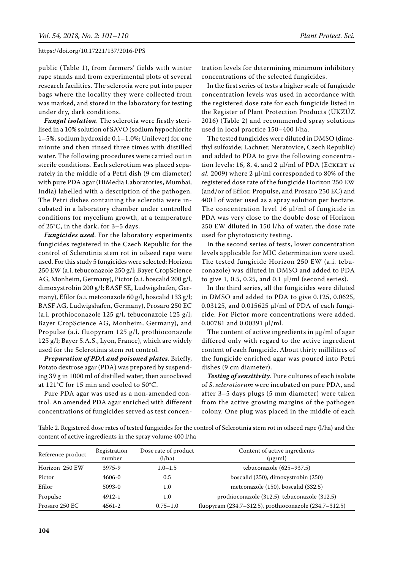public (Table 1), from farmers' fields with winter rape stands and from experimental plots of several research facilities. The sclerotia were put into paper bags where the locality they were collected from was marked, and stored in the laboratory for testing under dry, dark conditions.

*Fungal isolation*. The sclerotia were firstly sterilised in a 10% solution of SAVO (sodium hypochlorite 1–5%, sodium hydroxide 0.1–1.0%; Unilever) for one minute and then rinsed three times with distilled water. The following procedures were carried out in sterile conditions. Each sclerotium was placed separately in the middle of a Petri dish (9 cm diameter) with pure PDA agar (HiMedia Laboratories, Mumbai, India) labelled with a description of the pathogen. The Petri dishes containing the sclerotia were incubated in a laboratory chamber under controlled conditions for mycelium growth, at a temperature of 25°C, in the dark, for 3–5 days.

*Fungicides used*. For the laboratory experiments fungicides registered in the Czech Republic for the control of Sclerotinia stem rot in oilseed rape were used. For this study 5 fungicides were selected: Horizon 250 EW (a.i. tebuconazole 250 g/l; Bayer CropScience AG, Monheim, Germany), Pictor (a.i. boscalid 200 g/l, dimoxystrobin 200 g/l; BASF SE, Ludwigshafen, Germany), Efilor (a.i. metconazole 60 g/l, boscalid 133 g/l; BASF AG, Ludwigshafen, Germany), Prosaro 250 EC (a.i. prothioconazole 125 g/l, tebuconazole 125 g/l; Bayer CropScience AG, Monheim, Germany), and Propulse (a.i. fluopyram 125 g/l, prothioconazole 125 g/l; Bayer S.A.S., Lyon, France), which are widely used for the Sclerotinia stem rot control.

*Preparation of PDA and poisoned plates*. Briefly, Potato dextrose agar (PDA) was prepared by suspending 39 g in 1000 ml of distilled water, then autoclaved at 121°C for 15 min and cooled to 50°C.

Pure PDA agar was used as a non-amended control. An amended PDA agar enriched with different concentrations of fungicides served as test concen-

tration levels for determining minimum inhibitory concentrations of the selected fungicides.

In the first series of tests a higher scale of fungicide concentration levels was used in accordance with the registered dose rate for each fungicide listed in the Register of Plant Protection Products (ÚKZÚZ 2016) (Table 2) and recommended spray solutions used in local practice 150–400 l/ha.

The tested fungicides were diluted in DMSO (dimethyl sulfoxide; Lachner, Neratovice, Czech Republic) and added to PDA to give the following concentration levels: 16, 8, 4, and 2  $\mu$ l/ml of PDA (ECKERT *et* al. 2009) where 2 µl/ml corresponded to 80% of the registered dose rate of the fungicide Horizon 250 EW (and/or of Efilor, Propulse, and Prosaro 250 EC) and 400 l of water used as a spray solution per hectare. The concentration level 16 µl/ml of fungicide in PDA was very close to the double dose of Horizon 250 EW diluted in 150 l/ha of water, the dose rate used for phytotoxicity testing.

In the second series of tests, lower concentration levels applicable for MIC determination were used. The tested fungicide Horizon 250 EW (a.i. tebuconazole) was diluted in DMSO and added to PDA to give 1, 0.5, 0.25, and 0.1  $\mu$ l/ml (second series).

In the third series, all the fungicides were diluted in DMSO and added to PDA to give 0.125, 0.0625, 0.03125, and 0.015625 µl/ml of PDA of each fungicide. For Pictor more concentrations were added, 0.00781 and 0.00391 µl/ml.

The content of active ingredients in  $\mu$ g/ml of agar differed only with regard to the active ingredient content of each fungicide. About thirty millilitres of the fungicide enriched agar was poured into Petri dishes (9 cm diameter).

*Testing of sensitivity*. Pure cultures of each isolate of *S*. *sclerotiorum* were incubated on pure PDA, and after 3–5 days plugs (5 mm diameter) were taken from the active growing margins of the pathogen colony. One plug was placed in the middle of each

Table 2. Registered dose rates of tested fungicides for the control of Sclerotinia stem rot in oilseed rape (l/ha) and the content of active ingredients in the spray volume 400 l/ha

| Reference product | Registration<br>number | Dose rate of product<br>(l/ha) | Content of active ingredients<br>$(\mu g/ml)$          |
|-------------------|------------------------|--------------------------------|--------------------------------------------------------|
| Horizon 250 EW    | 3975-9                 | $1.0 - 1.5$                    | tebuconazole (625–937.5)                               |
| Pictor            | 4606-0                 | 0.5                            | boscalid (250), dimoxystrobin (250)                    |
| Efilor            | 5093-0                 | 1.0                            | metconazole (150), boscalid (332.5)                    |
| Propulse          | 4912-1                 | 1.0                            | prothioconazole (312.5), tebuconazole (312.5)          |
| Prosaro 250 EC    | 4561-2                 | $0.75 - 1.0$                   | fluopyram (234.7–312.5), prothioconazole (234.7–312.5) |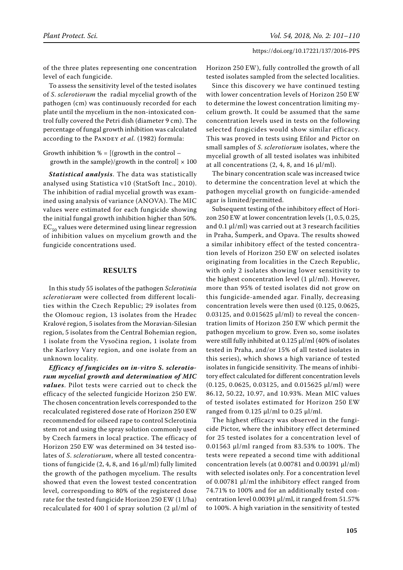of the three plates representing one concentration level of each fungicide.

To assess the sensitivity level of the tested isolates of *S*. *sclerotiorum* the radial mycelial growth of the pathogen (cm) was continuously recorded for each plate until the mycelium in the non-intoxicated control fully covered the Petri dish (diameter 9 cm). The percentage of fungal growth inhibition was calculated according to the PANDEY *et al.* (1982) formula:

Growth inhibition  $\% = \frac{1}{2}$  (growth in the control – growth in the sample)/growth in the control $] \times 100$ 

*Statistical analysis*. The data was statistically analysed using Statistica v10 (StatSoft Inc., 2010). The inhibition of radial mycelial growth was examined using analysis of variance (ANOVA). The MIC values were estimated for each fungicide showing the initial fungal growth inhibition higher than 50%.  $EC_{50}$  values were determined using linear regression of inhibition values on mycelium growth and the fungicide concentrations used.

# **Results**

In this study 55 isolates of the pathogen *Sclerotinia sclerotiorum* were collected from different localities within the Czech Republic; 29 isolates from the Olomouc region, 13 isolates from the Hradec Kralové region, 5 isolates from the Moravian-Silesian region, 5 isolates from the Central Bohemian region, 1 isolate from the Vysočina region, 1 isolate from the Karlovy Vary region, and one isolate from an unknown locality.

*Efficacy of fungicides on in-vitro S. sclerotiorum mycelial growth and determination of MIC values*. Pilot tests were carried out to check the efficacy of the selected fungicide Horizon 250 EW. The chosen concentration levels corresponded to the recalculated registered dose rate of Horizon 250 EW recommended for oilseed rape to control Sclerotinia stem rot and using the spray solution commonly used by Czech farmers in local practice. The efficacy of Horizon 250 EW was determined on 34 tested isolates of *S*. *sclerotiorum*, where all tested concentrations of fungicide  $(2, 4, 8, \text{ and } 16 \,\mu\text{J/ml})$  fully limited the growth of the pathogen mycelium. The results showed that even the lowest tested concentration level, corresponding to 80% of the registered dose rate for the tested fungicide Horizon 250 EW (1 l/ha) recalculated for 400 l of spray solution (2 µl/ml of

Horizon 250 EW), fully controlled the growth of all tested isolates sampled from the selected localities.

Since this discovery we have continued testing with lower concentration levels of Horizon 250 EW to determine the lowest concentration limiting mycelium growth. It could be assumed that the same concentration levels used in tests on the following selected fungicides would show similar efficacy. This was proved in tests using Efilor and Pictor on small samples of *S*. *sclerotiorum* isolates, where the mycelial growth of all tested isolates was inhibited at all concentrations  $(2, 4, 8, \text{ and } 16 \mu$ l/ml).

The binary concentration scale was increased twice to determine the concentration level at which the pathogen mycelial growth on fungicide-amended agar is limited/permitted.

Subsequent testing of the inhibitory effect of Horizon 250 EW at lower concentration levels (1, 0.5, 0.25, and 0.1 µl/ml) was carried out at 3 research facilities in Praha, Šumperk, and Opava. The results showed a similar inhibitory effect of the tested concentration levels of Horizon 250 EW on selected isolates originating from localities in the Czech Republic, with only 2 isolates showing lower sensitivity to the highest concentration level  $(1 \mu l/ml)$ . However, more than 95% of tested isolates did not grow on this fungicide-amended agar. Finally, decreasing concentration levels were then used (0.125, 0.0625, 0.03125, and 0.015625  $\mu$ l/ml) to reveal the concentration limits of Horizon 250 EW which permit the pathogen mycelium to grow. Even so, some isolates were still fully inhibited at 0.125 µl/ml (40% of isolates tested in Praha, and/or 15% of all tested isolates in this series), which shows a high variance of tested isolates in fungicide sensitivity. The means of inhibitory effect calculated for different concentration levels (0.125, 0.0625, 0.03125, and 0.015625 µl/ml) were 86.12, 50.22, 10.97, and 10.93%. Mean MIC values of tested isolates estimated for Horizon 250 EW ranged from  $0.125 \mu$ l/ml to  $0.25 \mu$ l/ml.

The highest efficacy was observed in the fungicide Pictor, where the inhibitory effect determined for 25 tested isolates for a concentration level of 0.01563 µl/ml ranged from 83.53% to 100%. The tests were repeated a second time with additional concentration levels (at 0.00781 and 0.00391 µl/ml) with selected isolates only. For a concentration level of 0.00781 µl/ml the inhibitory effect ranged from 74.71% to 100% and for an additionally tested concentration level 0.00391 µl/ml, it ranged from 51.57% to 100%. A high variation in the sensitivity of tested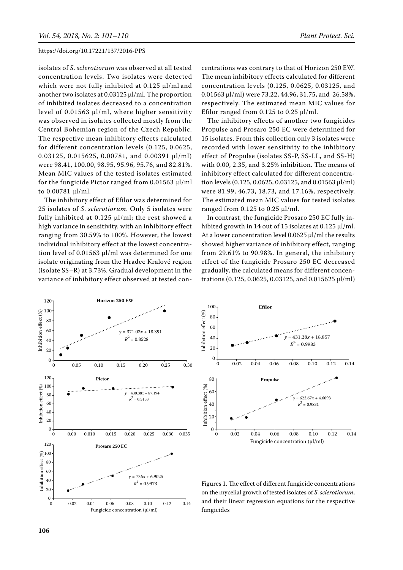isolates of *S*. *sclerotiorum* was observed at all tested concentration levels. Two isolates were detected which were not fully inhibited at 0.125 µl/ml and another two isolates at 0.03125 µl/ml. The proportion of inhibited isolates decreased to a concentration level of 0.01563 µl/ml, where higher sensitivity was observed in isolates collected mostly from the Central Bohemian region of the Czech Republic. The respective mean inhibitory effects calculated for different concentration levels (0.125, 0.0625, 0.03125, 0.015625, 0.00781, and 0.00391 µl/ml) were 98.41, 100.00, 98.95, 95.96, 95.76, and 82.81%. Mean MIC values of the tested isolates estimated for the fungicide Pictor ranged from 0.01563 µl/ml to 0.00781 µl/ml.

The inhibitory effect of Efilor was determined for 25 isolates of *S*. *sclerotiorum*. Only 5 isolates were fully inhibited at 0.125 µl/ml; the rest showed a high variance in sensitivity, with an inhibitory effect ranging from 30.59% to 100%. However, the lowest individual inhibitory effect at the lowest concentration level of 0.01563 µl/ml was determined for one isolate originating from the Hradec Kralové region (isolate SS–R) at 3.73%. Gradual development in the variance of inhibitory effect observed at tested concentrations was contrary to that of Horizon 250 EW. The mean inhibitory effects calculated for different concentration levels (0.125, 0.0625, 0.03125, and 0.01563 µl/ml) were 73.22, 44.96, 31.75, and 26.58%, respectively. The estimated mean MIC values for Efilor ranged from  $0.125$  to  $0.25$   $\mu$ l/ml.

The inhibitory effects of another two fungicides Propulse and Prosaro 250 EC were determined for 15 isolates. From this collection only 3 isolates were recorded with lower sensitivity to the inhibitory effect of Propulse (isolates SS-P, SS-LL, and SS-H) with 0.00, 2.35, and 3.25% inhibition. The means of inhibitory effect calculated for different concentration levels (0.125, 0.0625, 0.03125, and 0.01563 µl/ml) were 81.99, 46.73, 18.73, and 17.16%, respectively. The estimated mean MIC values for tested isolates ranged from  $0.125$  to  $0.25$   $\mu$ l/ml.

In contrast, the fungicide Prosaro 250 EC fully inhibited growth in 14 out of 15 isolates at 0.125 µl/ml. At a lower concentration level 0.0625 µl/ml the results showed higher variance of inhibitory effect, ranging from 29.61% to 90.98%. In general, the inhibitory effect of the fungicide Prosaro 250 EC decreased gradually, the calculated means for different concentrations (0.125, 0.0625, 0.03125, and 0.015625 µl/ml)





Figures 1. The effect of different fungicide concentrations on the mycelial growth of tested isolates of *S*. *sclerotiorum*, and their linear regression equations for the respective fungicides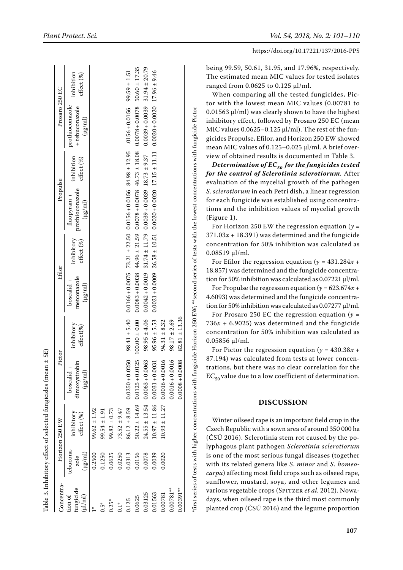|                                                         |                | inhibition<br>effect (%)                                                             |                      | $50.60 \pm 17.35$<br>± 20.79<br>9.46<br>1.51<br>$99.59 \pm$<br>$17.96 \pm$<br>31.94 |                  |                  |                                        |                                             |                                            |                                            |                      |                   | being 99.59, 50.61, 31.95, and 17.96%, respectively.<br>The estimated mean MIC values for tested isolates<br>ranged from $0.0625$ to $0.125$ µl/ml.<br>When comparing all the tested fungicides, Pic- |                                                                                                      |                                                                                                                                                                                                                                                                                                                                                                                                                                                                                           |
|---------------------------------------------------------|----------------|--------------------------------------------------------------------------------------|----------------------|-------------------------------------------------------------------------------------|------------------|------------------|----------------------------------------|---------------------------------------------|--------------------------------------------|--------------------------------------------|----------------------|-------------------|-------------------------------------------------------------------------------------------------------------------------------------------------------------------------------------------------------|------------------------------------------------------------------------------------------------------|-------------------------------------------------------------------------------------------------------------------------------------------------------------------------------------------------------------------------------------------------------------------------------------------------------------------------------------------------------------------------------------------------------------------------------------------------------------------------------------------|
|                                                         | Prosaro 250 EC | prothioconazole<br>+ tebuconazole<br>$(\mu g/\mathrm{m})$                            |                      |                                                                                     |                  |                  | $.0156 + 0.0156$                       | $0.0078 + 0.0078$                           | $0.0039 + 0.0039$                          | $0.0020 + 0.0020$                          |                      |                   |                                                                                                                                                                                                       |                                                                                                      | tor with the lowest mean MIC values (0.00781 to<br>0.01563 µl/ml) was clearly shown to have the highest<br>inhibitory effect, followed by Prosaro 250 EC (mean<br>MIC values 0.0625-0.125 µl/ml). The rest of the fun-<br>gicides Propulse, Efilor, and Horizon 250 EW showed<br>mean MIC values of 0.125-0.025 µl/ml. A brief over-                                                                                                                                                      |
|                                                         | Propulse       | inhibition<br>effect (%)<br>prothioconazole<br>fluopyram +<br>$(\mu g / \mathrm{m})$ |                      |                                                                                     |                  |                  | $84.98 \pm 12.95$<br>$0.0156 + 0.0156$ | 18.08<br>$+1$<br>46.73<br>$0.0078 + 0.0078$ | 9.37<br>$+1$<br>18.73<br>$0.0039 + 0.0039$ | 11.11<br>$+$<br>17.15<br>$0.0020 + 0.0020$ |                      |                   |                                                                                                                                                                                                       | gicide Horizon 250 EW; **second series of tests with the lowest concentrations with fungicide Pictor | view of obtained results is documented in Table 3.<br>Determination of $EC_{50}$ for the fungicides tested<br>for the control of Sclerotinia sclerotiorum. After<br>evaluation of the mycelial growth of the pathogen<br>S. sclerotiorum in each Petri dish, a linear regression<br>for each fungicide was established using concentra-<br>tions and the inhibition values of mycelial growth<br>(Figure 1).<br>For Horizon 250 EW the regression equation ( $y =$                        |
|                                                         | Efilor         | inhibitory<br>effect (%)<br>metconazole<br>boscalid +<br>$(\mu g / \text{mI})$       |                      |                                                                                     |                  |                  | ± 22.50<br>73.21<br>$0.0166 + 0.0075$  | 21.59<br>$+1$<br>44.96<br>$0.0083 + 0.0038$ | $\pm$ 11.79<br>31.74<br>$0.0042 + 0.0019$  | $\pm$ 10.51<br>26.58<br>$0.0021 + 0.0009$  |                      |                   |                                                                                                                                                                                                       |                                                                                                      | $371.03x + 18.391$ ) was determined and the fungicide<br>concentration for 50% inhibition was calculated as<br>$0.08519$ µl/ml.<br>For Efilor the regression equation ( $y = 431.284x +$<br>18.857) was determined and the fungicide concentra-<br>tion for 50% inhibition was calculated as 0.07221 µl/ml.<br>For Propulse the regression equation ( $y = 623.674x +$<br>4.6093) was determined and the fungicide concentra-<br>tion for 50% inhibition was calculated as 0.07277 µl/ml. |
|                                                         |                | inhibitory<br>effect%                                                                |                      |                                                                                     |                  |                  | 5.40<br>98.41 $\pm$                    | 0.00<br>$100.00 \pm$                        | 4.06<br>$98.95 \pm$                        | 5.53<br>$95.96 \pm$                        | 8.32<br>$+$<br>94.31 | $98.17 \pm 2.69$  | ± 13.36<br>82.81                                                                                                                                                                                      |                                                                                                      | For Prosaro 250 EC the regression equation ( $y =$<br>$736x + 6.9025$ ) was determined and the fungicide<br>concentration for 50% inhibition was calculated as<br>$0.05856$ µl/ml.<br>For Pictor the regression equation ( $y = 430.38x +$                                                                                                                                                                                                                                                |
| $\pm$ SE)                                               | Pictor         | Ы'n<br>dimoxystro<br>$(\mu g/\mbox{ml})$<br>boscalid                                 |                      |                                                                                     |                  |                  | $0.0250 + 0.0250$                      | 125<br>$0.0125 + 0.0$                       | $0.0063 + 0.0063$                          | $0.0031 + 0.0031$                          | $0.0016 + 0.0016$    | $0.0016 + 0.0016$ | $0.0008 + 0.0008$                                                                                                                                                                                     |                                                                                                      | 87.194) was calculated from tests at lower concen-<br>trations, but there was no clear correlation for the<br>$EC_{50}$ value due to a low coefficient of determination.                                                                                                                                                                                                                                                                                                                  |
| Table 3. Inhibitory effect of selected fungicides (mean | Horizon 250 EW | inhibitory<br>effect (%)                                                             | 1.92<br>$+$<br>99.62 | $99.54 \pm 1.91$                                                                    | $99.82 \pm 0.73$ | $73.52 \pm 9.47$ | $86.12 \pm 8.59$                       | $50.22 \pm 14.69$                           | $24.55 \pm 13.54$                          | ± 11.86<br>10.97                           | ±11.27<br>10.93      |                   |                                                                                                                                                                                                       | *first series of tests with higher concentrations with fun                                           | <b>DISCUSSION</b><br>Winter oilseed rape is an important field crop in the<br>Czech Republic with a sown area of around 350 000 ha<br>(ČSÚ 2016). Sclerotinia stem rot caused by the po-                                                                                                                                                                                                                                                                                                  |
|                                                         |                | tebucona-<br>$(\mu g/ml)$<br>zole                                                    | 0.2500               | 0.1250                                                                              | 0.0625           | 0.0250           | 0.0313                                 | 0.0156                                      | 0.0078                                     | 0.0039                                     | 0.0020               |                   |                                                                                                                                                                                                       |                                                                                                      | lyphagous plant pathogen Sclerotinia sclerotiorum<br>is one of the most serious fungal diseases (together<br>with its related genera like S. minor and S. homeo-<br>carpa) affecting most field crops such as oilseed rape,                                                                                                                                                                                                                                                               |
|                                                         | Concentra      | fungicide<br>tion of<br>$(\mu l/m)$                                                  |                      | $0.5*$                                                                              | $0.25^{\circ}$   | $0.1^*$          | 0.125                                  | 0.0625                                      | 0.03125                                    | 0.01563                                    | 0.00781              | $0.00781***$      | $0.00391**$                                                                                                                                                                                           |                                                                                                      | sunflower, mustard, soya, and other legumes and<br>various vegetable crops (SPITZER et al. 2012). Nowa-<br>days, when oilseed rape is the third most commonly<br>planted crop (ČSÚ 2016) and the legume proportion                                                                                                                                                                                                                                                                        |

Table 3. Inhibitory effect of selected fungicides (mean ± SE)

# **Disc ussio n**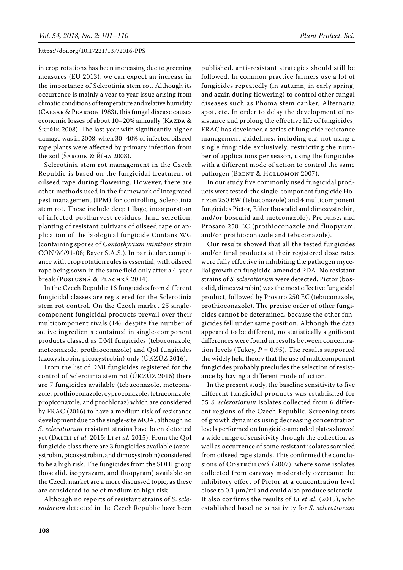in crop rotations has been increasing due to greening measures (EU 2013), we can expect an increase in the importance of Sclerotinia stem rot. Although its occurrence is mainly a year to year issue arising from climatic conditions of temperature and relative humidity (Caesar & Pearson 1983), this fungal disease causes economic losses of about 10-20% annually (KAZDA & Škeřík 2008). The last year with significantly higher damage was in 2008, when 30–40% of infected oilseed rape plants were affected by primary infection from the soil (Šaroun & Říha 2008).

Sclerotinia stem rot management in the Czech Republic is based on the fungicidal treatment of oilseed rape during flowering. However, there are other methods used in the framework of integrated pest management (IPM) for controlling Sclerotinia stem rot. These include deep tillage, incorporation of infected postharvest residues, land selection, planting of resistant cultivars of oilseed rape or application of the biological fungicide Contans WG (containing spores of *Coniothyrium minitans* strain CON/M/91-08; Bayer S.A.S.). In particular, compliance with crop rotation rules is essential, with oilseed rape being sown in the same field only after a 4-year break (Poslušná & Plachká 2014).

In the Czech Republic 16 fungicides from different fungicidal classes are registered for the Sclerotinia stem rot control. On the Czech market 25 singlecomponent fungicidal products prevail over their multicomponent rivals (14), despite the number of active ingredients contained in single-component products classed as DMI fungicides (tebuconazole, metconazole, prothioconazole) and QoI fungicides (azoxystrobin, picoxystrobin) only (ÚKZÚZ 2016).

From the list of DMI fungicides registered for the control of Sclerotinia stem rot (ÚKZÚZ 2016) there are 7 fungicides available (tebuconazole, metconazole, prothioconazole, cyproconazole, tetraconazole, propiconazole, and prochloraz) which are considered by FRAC (2016) to have a medium risk of resistance development due to the single-site MOA, although no *S*. *sclerotiorum* resistant strains have been detected yet (Dalili *et al.* 2015; Li *et al.* 2015). From the QoI fungicide class there are 3 fungicides available (azoxystrobin, picoxystrobin, and dimoxystrobin) considered to be a high risk. The fungicides from the SDHI group (boscalid, isopyrazam, and fluopyram) available on the Czech market are a more discussed topic, as these are considered to be of medium to high risk.

Although no reports of resistant strains of *S*. *sclerotiorum* detected in the Czech Republic have been

published, anti-resistant strategies should still be followed. In common practice farmers use a lot of fungicides repeatedly (in autumn, in early spring, and again during flowering) to control other fungal diseases such as Phoma stem canker, Alternaria spot, etc. In order to delay the development of resistance and prolong the effective life of fungicides, FRAC has developed a series of fungicide resistance management guidelines, including e.g. not using a single fungicide exclusively, restricting the number of applications per season, using the fungicides with a different mode of action to control the same pathogen (BRENT & HOLLOMON 2007).

In our study five commonly used fungicidal products were tested: the single-component fungicide Horizon 250 EW (tebuconazole) and 4 multicomponent fungicides Pictor, Efilor (boscalid and dimoxystrobin, and/or boscalid and metconazole), Propulse, and Prosaro 250 EC (prothioconazole and fluopyram, and/or prothioconazole and tebuconazole).

Our results showed that all the tested fungicides and/or final products at their registered dose rates were fully effective in inhibiting the pathogen mycelial growth on fungicide-amended PDA. No resistant strains of *S. sclerotiorum* were detected. Pictor (boscalid, dimoxystrobin) was the most effective fungicidal product, followed by Prosaro 250 EC (tebuconazole, prothioconazole). The precise order of other fungicides cannot be determined, because the other fungicides fell under same position. Although the data appeared to be different, no statistically significant differences were found in results between concentration levels (Tukey,  $P = 0.95$ ). The results supported the widely held theory that the use of multicomponent fungicides probably precludes the selection of resistance by having a different mode of action.

In the present study, the baseline sensitivity to five different fungicidal products was established for 55 *S. sclerotiorum* isolates collected from 6 different regions of the Czech Republic. Screening tests of growth dynamics using decreasing concentration levels performed on fungicide-amended plates showed a wide range of sensitivity through the collection as well as occurrence of some resistant isolates sampled from oilseed rape stands. This confirmed the conclusions of ODSTRČILOVÁ (2007), where some isolates collected from caraway moderately overcame the inhibitory effect of Pictor at a concentration level close to 0.1 µm/ml and could also produce sclerotia. It also confirms the results of Li *et al.* (2015), who established baseline sensitivity for *S. sclerotiorum*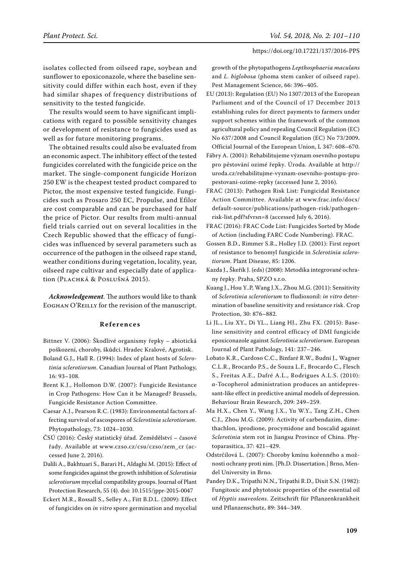isolates collected from oilseed rape, soybean and sunflower to epoxiconazole, where the baseline sensitivity could differ within each host, even if they had similar shapes of frequency distributions of sensitivity to the tested fungicide.

The results would seem to have significant implications with regard to possible sensitivity changes or development of resistance to fungicides used as well as for future monitoring programs.

The obtained results could also be evaluated from an economic aspect. The inhibitory effect of the tested fungicides correlated with the fungicide price on the market. The single-component fungicide Horizon 250 EW is the cheapest tested product compared to Pictor, the most expensive tested fungicide. Fungicides such as Prosaro 250 EC, Propulse, and Efilor are cost comparable and can be purchased for half the price of Pictor. Our results from multi-annual field trials carried out on several localities in the Czech Republic showed that the efficacy of fungicides was influenced by several parameters such as occurrence of the pathogen in the oilseed rape stand, weather conditions during vegetation, locality, year, oilseed rape cultivar and especially date of application (Plachká & Poslušná 2015).

*Acknowledgement*. The authors would like to thank Eoghan O'Reilly for the revision of the manuscript.

#### **References**

- Bittner V. (2006): Škodlivé organismy řepky abiotická poškození, choroby, škůdci. Hradec Kralové, Agrotisk.
- Boland G.J., Hall R. (1994): Index of plant hosts of *Sclerotinia sclerotiorum*. Canadian Journal of Plant Pathology, 16: 93–108.
- Brent K.J., Hollomon D.W. (2007): Fungicide Resistance in Crop Pathogens: How Can it be Managed? Brussels, Fungicide Resistance Action Committee.
- Caesar A.J., Pearson R.C. (1983): Environmental factors affecting survival of ascospores of *Sclerotinia sclerotiorum*. Phytopathology, 73: 1024–1030.
- ČSÚ (2016): Český statistický úřad. Zemědělství časové řady. Available at www.czso.cz/csu/czso/zem\_cr (accessed June 2, 2016).
- Dalili A., Bakhtuari S., Barari H., Aldaghi M. (2015): Effect of some fungicides against the growth inhibition of *Sclerotinia sclerotiorum* mycelial compatibility groups. Journal of Plant Protection Research, 55 (4). doi: 10.1515/jppr-2015-0047
- Eckert M.R., Rossall S., Selley A., Fitt B.D.L. (2009): Effect of fungicides on *in vitro* spore germination and mycelial

growth of the phytopathogens *Lepthosphaeria maculans* and *L. biglobosa* (phoma stem canker of oilseed rape). Pest Management Science, 66: 396–405.

- EU (2013): Regulation (EU) No 1307/2013 of the European Parliament and of the Council of 17 December 2013 establishing rules for direct payments to farmers under support schemes within the framework of the common agricultural policy and repealing Council Regulation (EC) No 637/2008 and Council Regulation (EC) No 73/2009**.**  Official Journal of the European Union, L 347: 608–670.
- Fábry A. (2001): Rehabilitujeme význam osevního postupu pro pěstování ozimé řepky. Úroda. Available at http:// uroda.cz/rehabilitujme-vyznam-osevniho-postupu-propestovani-ozime-repky (accessed June 2, 2016).
- FRAC (2013): Pathogen Risk List: Fungicidal Resistance Action Committee. Available at www.frac.info/docs/ default-source/publications/pathogen-risk/pathogenrisk-list.pdf?sfvrsn=8 (accessed July 6, 2016).
- FRAC (2016): FRAC Code List: Fungicides Sorted by Mode of Action (including FARC Code Numbering). FRAC.
- Gossen B.D., Rimmer S.R., Holley J.D. (2001): First report of resistance to benomyl fungicide in *Sclerotinia sclerotiorum*. Plant Disease, 85: 1206.
- Kazda J., Škeřík J. (eds) (2008): Metodika integrované ochrany řepky. Praha, SPZO s.r.o.
- Kuang J., Hou Y..P, Wang J.X., Zhou M.G. (2011): Sensitivity of *Sclerotinia sclerotiorum* to fludioxonil: *in vitro* determination of baseline sensitivity and resistance risk. Crop Protection, 30: 876–882.
- Li JL., Liu XY., Di YL., Liang HJ., Zhu FX. (2015): Baseline sensitivity and control efficacy of DMI fungicide epoxiconazole against *Sclerotinia sclerotiorum*. European Journal of Plant Pathology, 141: 237–246.
- Lobato K.R., Cardoso C.C., Binfaré R.W., Budni J., Wagner C.L.R., Brocardo P.S., de Souza L.F., Brocardo C., Flesch S., Freitas A.E., Dafré A.L., Rodrigues A.L.S. (2010): α-Tocopherol administration produces an antidepressant-like effect in predictive animal models of depression. Behaviour Brain Research, 209: 249–259.
- Ma H.X., Chen Y., Wang J.X., Yu W.Y., Tang Z.H., Chen C.J., Zhou M.G. (2009): Activity of carbendazim, dimethachlon, iprodione, procymidone and boscalid against *Sclerotinia* stem rot in Jiangsu Province of China. Phytoparasitica, 37: 421–429.
- Odstrčilová L. (2007): Choroby kmínu kořenného a možnosti ochrany proti nim. [Ph.D. Dissertation.] Brno, Mendel University in Brno.
- Pandey D.K., Tripathi N.N., Tripathi R.D., Dixit S.N. (1982): Fungitoxic and phytotoxic properties of the essential oil of *Hyptis suaveolens*. Zeitschrift für Pflanzenkrankheit und Pflanzenschutz, 89: 344–349.